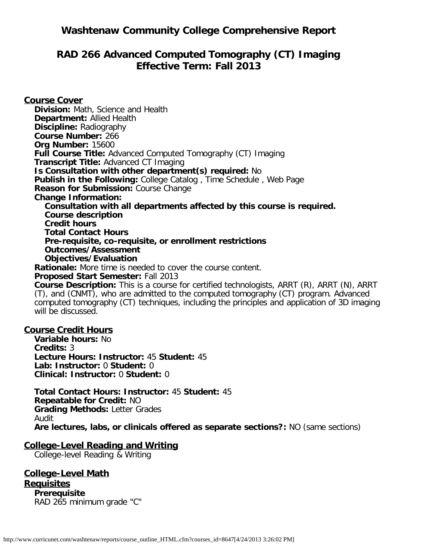# **Washtenaw Community College Comprehensive Report**

# **RAD 266 Advanced Computed Tomography (CT) Imaging Effective Term: Fall 2013**

**Course Cover Division:** Math, Science and Health **Department:** Allied Health **Discipline:** Radiography **Course Number:** 266 **Org Number:** 15600 **Full Course Title:** Advanced Computed Tomography (CT) Imaging **Transcript Title:** Advanced CT Imaging **Is Consultation with other department(s) required:** No **Publish in the Following:** College Catalog , Time Schedule , Web Page **Reason for Submission:** Course Change **Change Information: Consultation with all departments affected by this course is required. Course description Credit hours Total Contact Hours Pre-requisite, co-requisite, or enrollment restrictions Outcomes/Assessment Objectives/Evaluation Rationale:** More time is needed to cover the course content. **Proposed Start Semester:** Fall 2013

**Course Description:** This is a course for certified technologists, ARRT (R), ARRT (N), ARRT (T), and (CNMT), who are admitted to the computed tomography (CT) program. Advanced computed tomography (CT) techniques, including the principles and application of 3D imaging will be discussed.

#### **Course Credit Hours**

**Variable hours:** No **Credits:** 3 **Lecture Hours: Instructor:** 45 **Student:** 45 **Lab: Instructor:** 0 **Student:** 0 **Clinical: Instructor:** 0 **Student:** 0

**Total Contact Hours: Instructor:** 45 **Student:** 45 **Repeatable for Credit:** NO **Grading Methods:** Letter Grades Audit **Are lectures, labs, or clinicals offered as separate sections?:** NO (same sections)

### **College-Level Reading and Writing**

College-level Reading & Writing

**College-Level Math Requisites Prerequisite** RAD 265 minimum grade "C"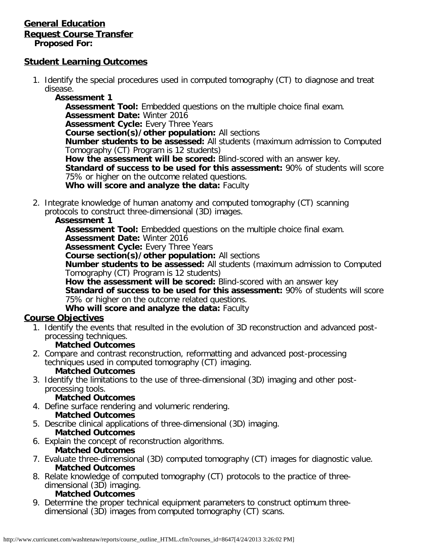### **General Education Request Course Transfer Proposed For:**

### **Student Learning Outcomes**

- 1. Identify the special procedures used in computed tomography (CT) to diagnose and treat disease.
	- **Assessment 1**

**Assessment Tool:** Embedded questions on the multiple choice final exam. **Assessment Date:** Winter 2016 **Assessment Cycle:** Every Three Years **Course section(s)/other population:** All sections **Number students to be assessed:** All students (maximum admission to Computed Tomography (CT) Program is 12 students) **How the assessment will be scored:** Blind-scored with an answer key. **Standard of success to be used for this assessment:** 90% of students will score 75% or higher on the outcome related questions. **Who will score and analyze the data:** Faculty

2. Integrate knowledge of human anatomy and computed tomography (CT) scanning protocols to construct three-dimensional (3D) images.

#### **Assessment 1**

**Assessment Tool:** Embedded questions on the multiple choice final exam.

**Assessment Date:** Winter 2016

**Assessment Cycle:** Every Three Years

**Course section(s)/other population:** All sections

**Number students to be assessed:** All students (maximum admission to Computed Tomography (CT) Program is 12 students)

**How the assessment will be scored:** Blind-scored with an answer key **Standard of success to be used for this assessment:** 90% of students will score 75% or higher on the outcome related questions.

**Who will score and analyze the data:** Faculty

### **Course Objectives**

1. Identify the events that resulted in the evolution of 3D reconstruction and advanced postprocessing techniques.

### **Matched Outcomes**

2. Compare and contrast reconstruction, reformatting and advanced post-processing techniques used in computed tomography (CT) imaging.

### **Matched Outcomes**

3. Identify the limitations to the use of three-dimensional (3D) imaging and other postprocessing tools.

### **Matched Outcomes**

4. Define surface rendering and volumeric rendering.

# **Matched Outcomes**

- 5. Describe clinical applications of three-dimensional (3D) imaging. **Matched Outcomes**
- 6. Explain the concept of reconstruction algorithms. **Matched Outcomes**
- 7. Evaluate three-dimensional (3D) computed tomography (CT) images for diagnostic value. **Matched Outcomes**
- 8. Relate knowledge of computed tomography (CT) protocols to the practice of threedimensional (3D) imaging.

## **Matched Outcomes**

9. Determine the proper technical equipment parameters to construct optimum threedimensional (3D) images from computed tomography (CT) scans.